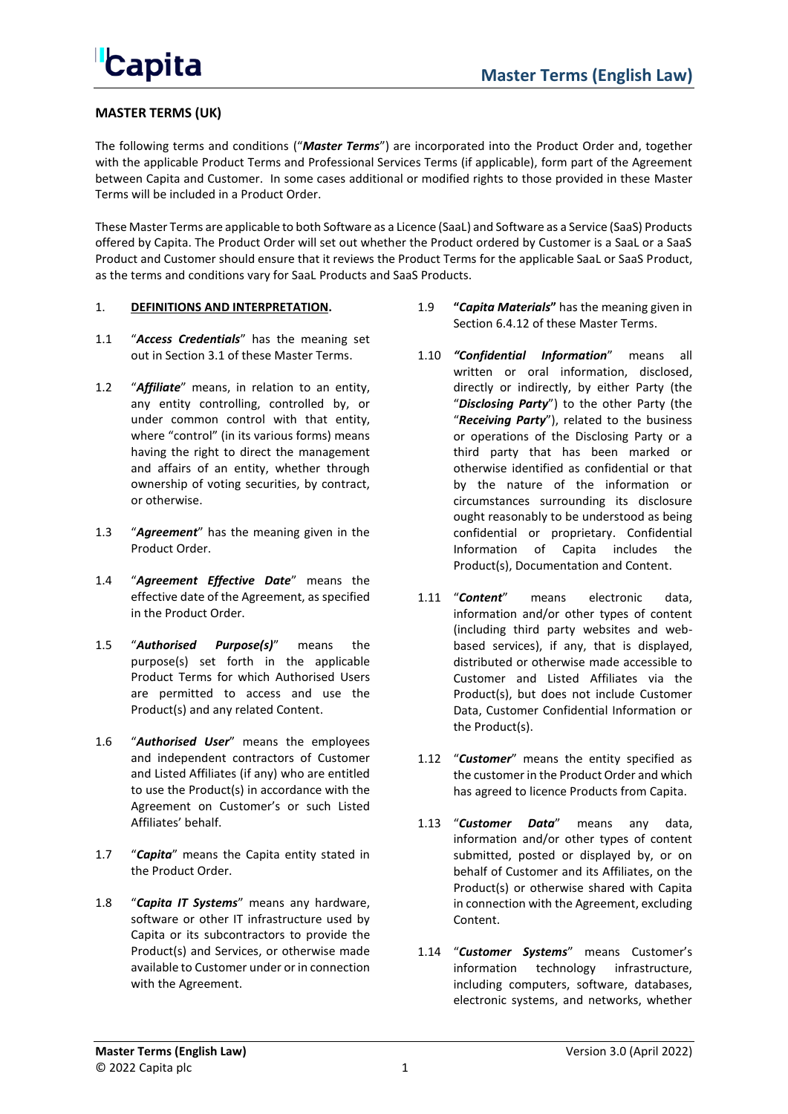

### **MASTER TERMS (UK)**

The following terms and conditions ("*Master Terms*") are incorporated into the Product Order and, together with the applicable Product Terms and Professional Services Terms (if applicable), form part of the Agreement between Capita and Customer. In some cases additional or modified rights to those provided in these Master Terms will be included in a Product Order.

These Master Terms are applicable to both Software as a Licence (SaaL) and Software as a Service (SaaS) Products offered by Capita. The Product Order will set out whether the Product ordered by Customer is a SaaL or a SaaS Product and Customer should ensure that it reviews the Product Terms for the applicable SaaL or SaaS Product, as the terms and conditions vary for SaaL Products and SaaS Products.

#### 1. **DEFINITIONS AND INTERPRETATION.**

- 1.1 "*Access Credentials*" has the meaning set out in Section [3.1](#page-4-0) of these Master Terms.
- 1.2 "*Affiliate*" means, in relation to an entity, any entity controlling, controlled by, or under common control with that entity, where "control" (in its various forms) means having the right to direct the management and affairs of an entity, whether through ownership of voting securities, by contract, or otherwise.
- 1.3 "*Agreement*" has the meaning given in the Product Order.
- 1.4 "*Agreement Effective Date*" means the effective date of the Agreement, as specified in the Product Order.
- 1.5 "*Authorised Purpose(s)*" means the purpose(s) set forth in the applicable Product Terms for which Authorised Users are permitted to access and use the Product(s) and any related Content.
- 1.6 "*Authorised User*" means the employees and independent contractors of Customer and Listed Affiliates (if any) who are entitled to use the Product(s) in accordance with the Agreement on Customer's or such Listed Affiliates' behalf.
- 1.7 "*Capita*" means the Capita entity stated in the Product Order.
- 1.8 "*Capita IT Systems*" means any hardware, software or other IT infrastructure used by Capita or its subcontractors to provide the Product(s) and Services, or otherwise made available to Customer under or in connection with the Agreement.
- 1.9 **"***Capita Materials***"** has the meaning given in Section [6.4.12](#page-9-0) of these Master Terms.
- 1.10 *"Confidential Information*" means all written or oral information, disclosed, directly or indirectly, by either Party (the "*Disclosing Party*") to the other Party (the "*Receiving Party*"), related to the business or operations of the Disclosing Party or a third party that has been marked or otherwise identified as confidential or that by the nature of the information or circumstances surrounding its disclosure ought reasonably to be understood as being confidential or proprietary. Confidential Information of Capita includes the Product(s), Documentation and Content.
- 1.11 "*Content*" means electronic data, information and/or other types of content (including third party websites and webbased services), if any, that is displayed, distributed or otherwise made accessible to Customer and Listed Affiliates via the Product(s), but does not include Customer Data, Customer Confidential Information or the Product(s).
- 1.12 "*Customer*" means the entity specified as the customer in the Product Order and which has agreed to licence Products from Capita.
- 1.13 "*Customer Data*" means any data, information and/or other types of content submitted, posted or displayed by, or on behalf of Customer and its Affiliates, on the Product(s) or otherwise shared with Capita in connection with the Agreement, excluding Content.
- 1.14 "*Customer Systems*" means Customer's information technology infrastructure, including computers, software, databases, electronic systems, and networks, whether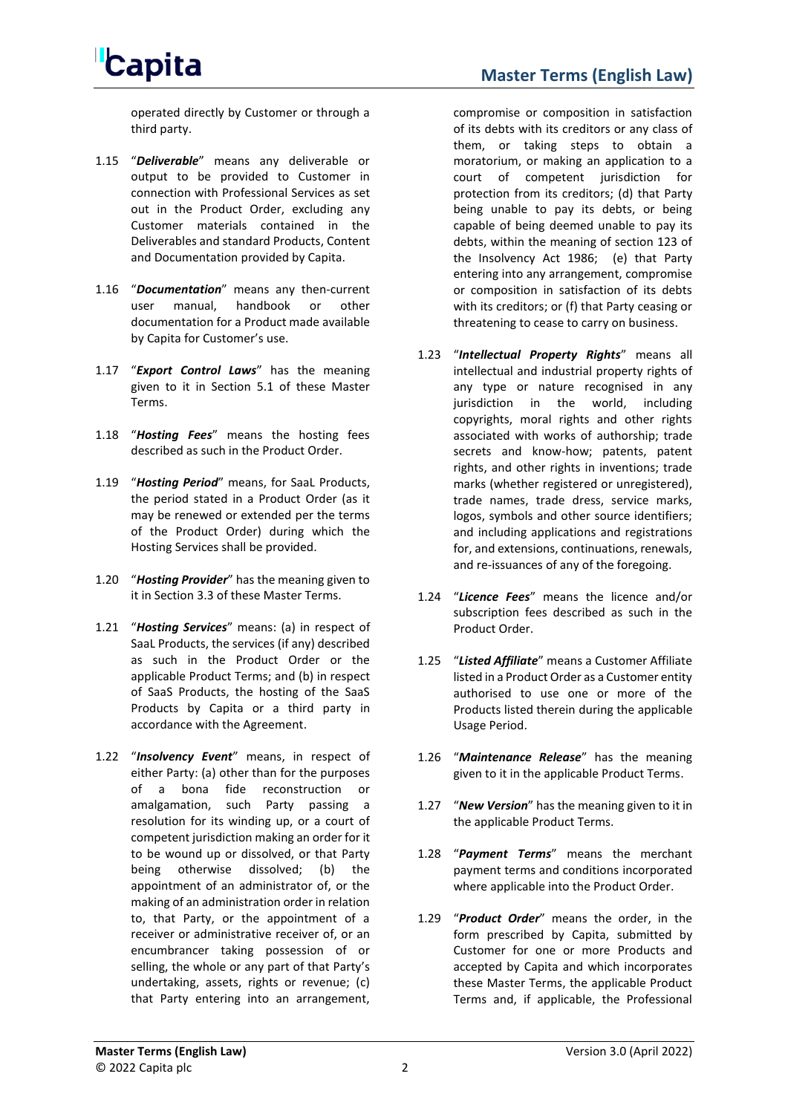operated directly by Customer or through a third party.

- 1.15 "*Deliverable*" means any deliverable or output to be provided to Customer in connection with Professional Services as set out in the Product Order, excluding any Customer materials contained in the Deliverables and standard Products, Content and Documentation provided by Capita.
- 1.16 "*Documentation*" means any then-current user manual, handbook or other documentation for a Product made available by Capita for Customer's use.
- 1.17 "*Export Control Laws*" has the meaning given to it in Section [5.1](#page-6-0) of these Master Terms.
- 1.18 "*Hosting Fees*" means the hosting fees described as such in the Product Order.
- 1.19 "*Hosting Period*" means, for SaaL Products, the period stated in a Product Order (as it may be renewed or extended per the terms of the Product Order) during which the Hosting Services shall be provided.
- 1.20 "*Hosting Provider*" has the meaning given to it in Section [3.3](#page-5-0) of these Master Terms.
- 1.21 "*Hosting Services*" means: (a) in respect of SaaL Products, the services (if any) described as such in the Product Order or the applicable Product Terms; and (b) in respect of SaaS Products, the hosting of the SaaS Products by Capita or a third party in accordance with the Agreement.
- 1.22 "*Insolvency Event*" means, in respect of either Party: (a) other than for the purposes of a bona fide reconstruction or amalgamation, such Party passing a resolution for its winding up, or a court of competent jurisdiction making an order for it to be wound up or dissolved, or that Party being otherwise dissolved; (b) the appointment of an administrator of, or the making of an administration order in relation to, that Party, or the appointment of a receiver or administrative receiver of, or an encumbrancer taking possession of or selling, the whole or any part of that Party's undertaking, assets, rights or revenue; (c) that Party entering into an arrangement,

compromise or composition in satisfaction of its debts with its creditors or any class of

**Master Terms (English Law)**

them, or taking steps to obtain a moratorium, or making an application to a court of competent jurisdiction for protection from its creditors; (d) that Party being unable to pay its debts, or being capable of being deemed unable to pay its debts, within the meaning of section 123 of the Insolvency Act 1986; (e) that Party entering into any arrangement, compromise or composition in satisfaction of its debts with its creditors; or (f) that Party ceasing or threatening to cease to carry on business.

- 1.23 "*Intellectual Property Rights*" means all intellectual and industrial property rights of any type or nature recognised in any jurisdiction in the world, including copyrights, moral rights and other rights associated with works of authorship; trade secrets and know-how; patents, patent rights, and other rights in inventions; trade marks (whether registered or unregistered), trade names, trade dress, service marks, logos, symbols and other source identifiers; and including applications and registrations for, and extensions, continuations, renewals, and re-issuances of any of the foregoing.
- 1.24 "*Licence Fees*" means the licence and/or subscription fees described as such in the Product Order.
- 1.25 "*Listed Affiliate*" means a Customer Affiliate listed in a Product Order as a Customer entity authorised to use one or more of the Products listed therein during the applicable Usage Period.
- 1.26 "*Maintenance Release*" has the meaning given to it in the applicable Product Terms.
- 1.27 "*New Version*" has the meaning given to it in the applicable Product Terms.
- 1.28 "*Payment Terms*" means the merchant payment terms and conditions incorporated where applicable into the Product Order.
- 1.29 "*Product Order*" means the order, in the form prescribed by Capita, submitted by Customer for one or more Products and accepted by Capita and which incorporates these Master Terms, the applicable Product Terms and, if applicable, the Professional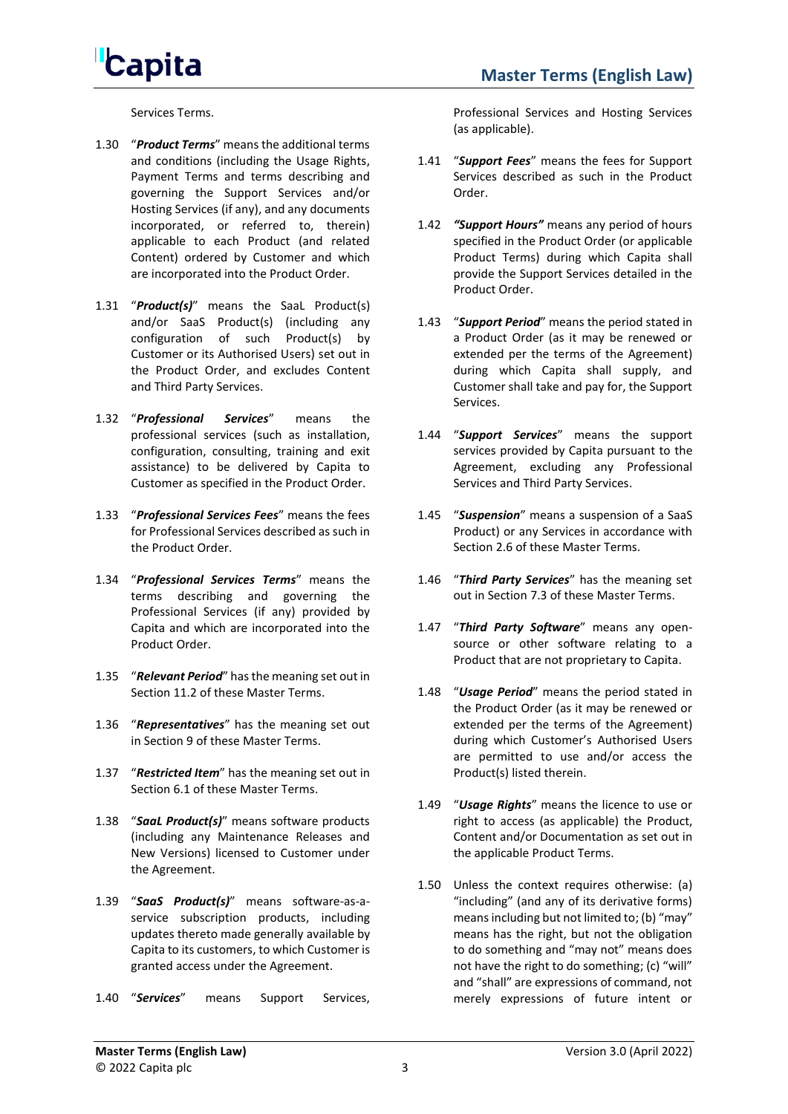Services Terms.

- 1.30 "*Product Terms*" means the additional terms and conditions (including the Usage Rights, Payment Terms and terms describing and governing the Support Services and/or Hosting Services (if any), and any documents incorporated, or referred to, therein) applicable to each Product (and related Content) ordered by Customer and which are incorporated into the Product Order.
- 1.31 "*Product(s)*" means the SaaL Product(s) and/or SaaS Product(s) (including any configuration of such Product(s) by Customer or its Authorised Users) set out in the Product Order, and excludes Content and Third Party Services.
- 1.32 "*Professional Services*" means the professional services (such as installation, configuration, consulting, training and exit assistance) to be delivered by Capita to Customer as specified in the Product Order.
- 1.33 "*Professional Services Fees*" means the fees for Professional Services described as such in the Product Order.
- 1.34 "*Professional Services Terms*" means the terms describing and governing the Professional Services (if any) provided by Capita and which are incorporated into the Product Order.
- 1.35 "*Relevant Period*" has the meaning set out in Section [11.2](#page-15-0) of these Master Terms.
- 1.36 "*Representatives*" has the meaning set out in Section [9](#page-12-0) of these Master Terms.
- 1.37 "*Restricted Item*" has the meaning set out in Section [6.1](#page-6-1) of these Master Terms.
- 1.38 "*SaaL Product(s)*" means software products (including any Maintenance Releases and New Versions) licensed to Customer under the Agreement.
- 1.39 "*SaaS Product(s)*" means software-as-aservice subscription products, including updates thereto made generally available by Capita to its customers, to which Customer is granted access under the Agreement.
- 1.40 "*Services*" means Support Services,

Professional Services and Hosting Services (as applicable).

- 1.41 "*Support Fees*" means the fees for Support Services described as such in the Product Order.
- 1.42 *"Support Hours"* means any period of hours specified in the Product Order (or applicable Product Terms) during which Capita shall provide the Support Services detailed in the Product Order.
- 1.43 "*Support Period*" means the period stated in a Product Order (as it may be renewed or extended per the terms of the Agreement) during which Capita shall supply, and Customer shall take and pay for, the Support Services.
- 1.44 "*Support Services*" means the support services provided by Capita pursuant to the Agreement, excluding any Professional Services and Third Party Services.
- 1.45 "*Suspension*" means a suspension of a SaaS Product) or any Services in accordance with Section [2.6](#page-3-0) of these Master Terms.
- 1.46 "*Third Party Services*" has the meaning set out in Section [7.3](#page-9-1) of these Master Terms.
- 1.47 "*Third Party Software*" means any opensource or other software relating to a Product that are not proprietary to Capita.
- 1.48 "*Usage Period*" means the period stated in the Product Order (as it may be renewed or extended per the terms of the Agreement) during which Customer's Authorised Users are permitted to use and/or access the Product(s) listed therein.
- 1.49 "*Usage Rights*" means the licence to use or right to access (as applicable) the Product, Content and/or Documentation as set out in the applicable Product Terms.
- 1.50 Unless the context requires otherwise: (a) "including" (and any of its derivative forms) means including but not limited to; (b) "may" means has the right, but not the obligation to do something and "may not" means does not have the right to do something; (c) "will" and "shall" are expressions of command, not merely expressions of future intent or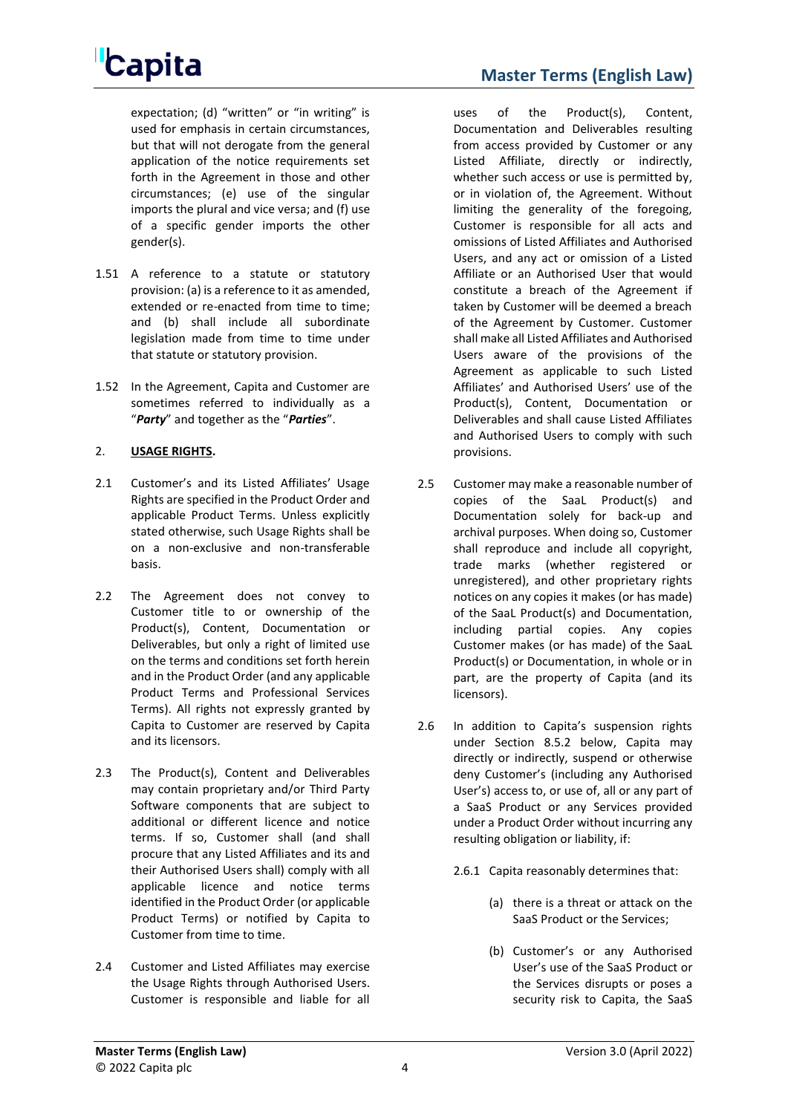expectation; (d) "written" or "in writing" is used for emphasis in certain circumstances, but that will not derogate from the general application of the notice requirements set forth in the Agreement in those and other circumstances; (e) use of the singular imports the plural and vice versa; and (f) use of a specific gender imports the other gender(s).

- 1.51 A reference to a statute or statutory provision: (a) is a reference to it as amended, extended or re-enacted from time to time; and (b) shall include all subordinate legislation made from time to time under that statute or statutory provision.
- 1.52 In the Agreement, Capita and Customer are sometimes referred to individually as a "*Party*" and together as the "*Parties*".

### 2. **USAGE RIGHTS.**

- 2.1 Customer's and its Listed Affiliates' Usage Rights are specified in the Product Order and applicable Product Terms. Unless explicitly stated otherwise, such Usage Rights shall be on a non-exclusive and non-transferable basis.
- 2.2 The Agreement does not convey to Customer title to or ownership of the Product(s), Content, Documentation or Deliverables, but only a right of limited use on the terms and conditions set forth herein and in the Product Order (and any applicable Product Terms and Professional Services Terms). All rights not expressly granted by Capita to Customer are reserved by Capita and its licensors.
- 2.3 The Product(s), Content and Deliverables may contain proprietary and/or Third Party Software components that are subject to additional or different licence and notice terms. If so, Customer shall (and shall procure that any Listed Affiliates and its and their Authorised Users shall) comply with all applicable licence and notice terms identified in the Product Order (or applicable Product Terms) or notified by Capita to Customer from time to time.
- 2.4 Customer and Listed Affiliates may exercise the Usage Rights through Authorised Users. Customer is responsible and liable for all

uses of the Product(s), Content, Documentation and Deliverables resulting from access provided by Customer or any Listed Affiliate, directly or indirectly, whether such access or use is permitted by, or in violation of, the Agreement. Without limiting the generality of the foregoing, Customer is responsible for all acts and omissions of Listed Affiliates and Authorised Users, and any act or omission of a Listed Affiliate or an Authorised User that would constitute a breach of the Agreement if taken by Customer will be deemed a breach of the Agreement by Customer. Customer shall make all Listed Affiliates and Authorised Users aware of the provisions of the Agreement as applicable to such Listed Affiliates' and Authorised Users' use of the Product(s), Content, Documentation or Deliverables and shall cause Listed Affiliates and Authorised Users to comply with such provisions.

- 2.5 Customer may make a reasonable number of copies of the SaaL Product(s) and Documentation solely for back-up and archival purposes. When doing so, Customer shall reproduce and include all copyright, trade marks (whether registered or unregistered), and other proprietary rights notices on any copies it makes (or has made) of the SaaL Product(s) and Documentation, including partial copies. Any copies Customer makes (or has made) of the SaaL Product(s) or Documentation, in whole or in part, are the property of Capita (and its licensors).
- <span id="page-3-0"></span>2.6 In addition to Capita's suspension rights under Section [8.5.2](#page-11-0) below, Capita may directly or indirectly, suspend or otherwise deny Customer's (including any Authorised User's) access to, or use of, all or any part of a SaaS Product or any Services provided under a Product Order without incurring any resulting obligation or liability, if:
	- 2.6.1 Capita reasonably determines that:
		- (a) there is a threat or attack on the SaaS Product or the Services;
		- (b) Customer's or any Authorised User's use of the SaaS Product or the Services disrupts or poses a security risk to Capita, the SaaS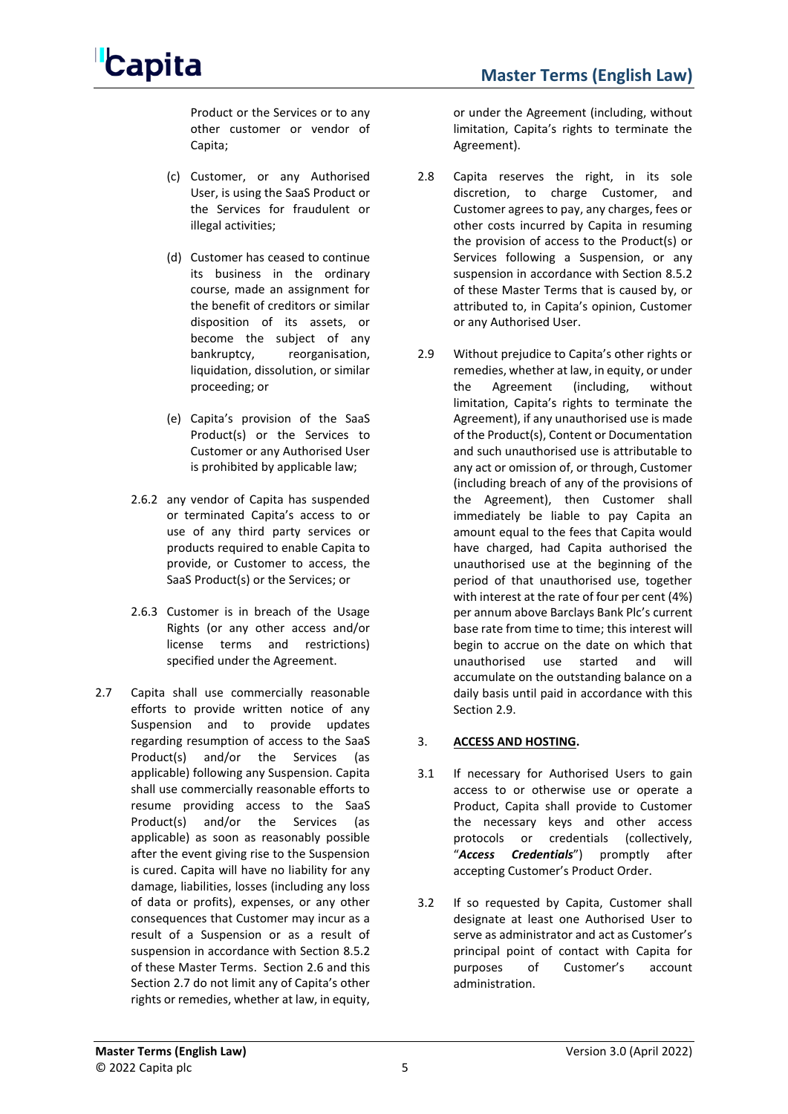Product or the Services or to any other customer or vendor of Capita;

- (c) Customer, or any Authorised User, is using the SaaS Product or the Services for fraudulent or illegal activities;
- (d) Customer has ceased to continue its business in the ordinary course, made an assignment for the benefit of creditors or similar disposition of its assets, or become the subject of any bankruptcy, reorganisation, liquidation, dissolution, or similar proceeding; or
- (e) Capita's provision of the SaaS Product(s) or the Services to Customer or any Authorised User is prohibited by applicable law;
- 2.6.2 any vendor of Capita has suspended or terminated Capita's access to or use of any third party services or products required to enable Capita to provide, or Customer to access, the SaaS Product(s) or the Services; or
- 2.6.3 Customer is in breach of the Usage Rights (or any other access and/or license terms and restrictions) specified under the Agreement.
- <span id="page-4-1"></span>2.7 Capita shall use commercially reasonable efforts to provide written notice of any Suspension and to provide updates regarding resumption of access to the SaaS Product(s) and/or the Services (as applicable) following any Suspension. Capita shall use commercially reasonable efforts to resume providing access to the SaaS Product(s) and/or the Services (as applicable) as soon as reasonably possible after the event giving rise to the Suspension is cured. Capita will have no liability for any damage, liabilities, losses (including any loss of data or profits), expenses, or any other consequences that Customer may incur as a result of a Suspension or as a result of suspension in accordance with Section [8.5.2](#page-11-0) of these Master Terms. Section [2.6](#page-3-0) and this Section [2.7](#page-4-1) do not limit any of Capita's other rights or remedies, whether at law, in equity,

or under the Agreement (including, without limitation, Capita's rights to terminate the Agreement).

- 2.8 Capita reserves the right, in its sole discretion, to charge Customer, and Customer agrees to pay, any charges, fees or other costs incurred by Capita in resuming the provision of access to the Product(s) or Services following a Suspension, or any suspension in accordance with Section [8.5.2](#page-11-0) of these Master Terms that is caused by, or attributed to, in Capita's opinion, Customer or any Authorised User.
- <span id="page-4-2"></span>2.9 Without prejudice to Capita's other rights or remedies, whether at law, in equity, or under the Agreement (including, without limitation, Capita's rights to terminate the Agreement), if any unauthorised use is made of the Product(s), Content or Documentation and such unauthorised use is attributable to any act or omission of, or through, Customer (including breach of any of the provisions of the Agreement), then Customer shall immediately be liable to pay Capita an amount equal to the fees that Capita would have charged, had Capita authorised the unauthorised use at the beginning of the period of that unauthorised use, together with interest at the rate of four per cent (4%) per annum above Barclays Bank Plc's current base rate from time to time; this interest will begin to accrue on the date on which that unauthorised use started and will accumulate on the outstanding balance on a daily basis until paid in accordance with this Section [2.9.](#page-4-2)

### 3. **ACCESS AND HOSTING.**

- <span id="page-4-0"></span>3.1 If necessary for Authorised Users to gain access to or otherwise use or operate a Product, Capita shall provide to Customer the necessary keys and other access protocols or credentials (collectively, "*Access Credentials*") promptly after accepting Customer's Product Order.
- 3.2 If so requested by Capita, Customer shall designate at least one Authorised User to serve as administrator and act as Customer's principal point of contact with Capita for purposes of Customer's account administration.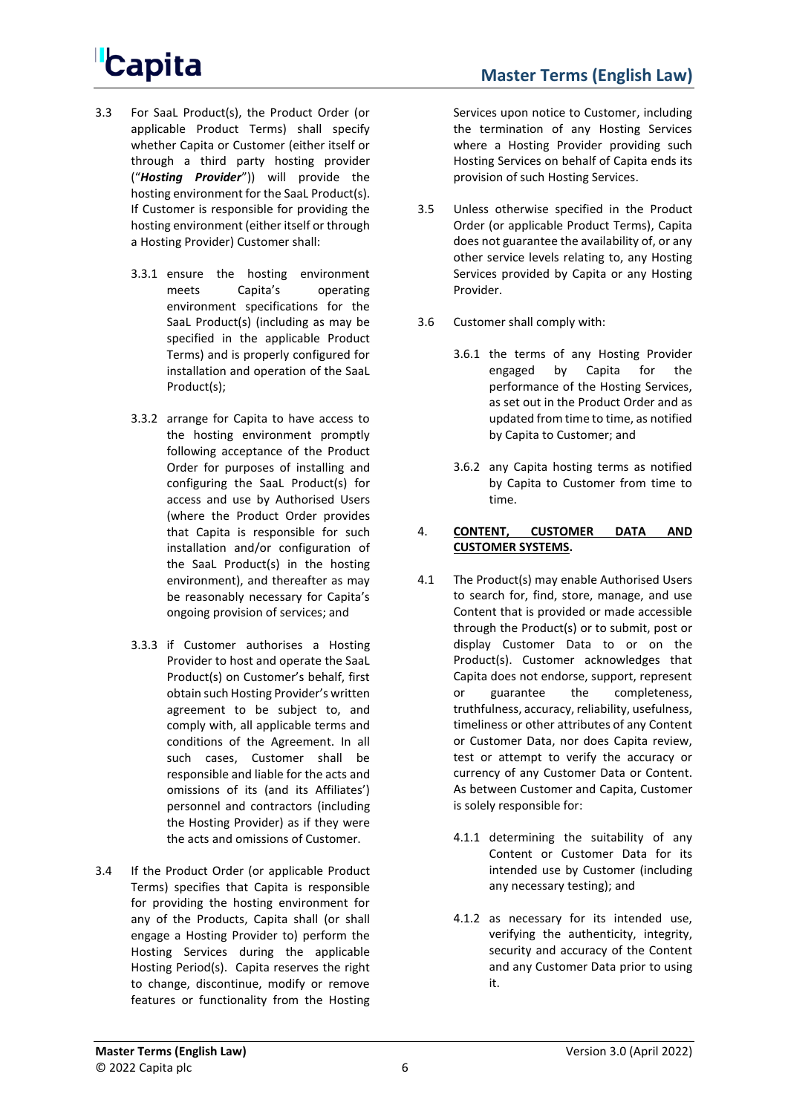- <span id="page-5-0"></span>3.3 For SaaL Product(s), the Product Order (or applicable Product Terms) shall specify whether Capita or Customer (either itself or through a third party hosting provider ("*Hosting Provider*")) will provide the hosting environment for the SaaL Product(s). If Customer is responsible for providing the hosting environment (either itself or through a Hosting Provider) Customer shall:
	- 3.3.1 ensure the hosting environment meets Capita's operating environment specifications for the SaaL Product(s) (including as may be specified in the applicable Product Terms) and is properly configured for installation and operation of the SaaL Product(s);
	- 3.3.2 arrange for Capita to have access to the hosting environment promptly following acceptance of the Product Order for purposes of installing and configuring the SaaL Product(s) for access and use by Authorised Users (where the Product Order provides that Capita is responsible for such installation and/or configuration of the SaaL Product(s) in the hosting environment), and thereafter as may be reasonably necessary for Capita's ongoing provision of services; and
	- 3.3.3 if Customer authorises a Hosting Provider to host and operate the SaaL Product(s) on Customer's behalf, first obtain such Hosting Provider's written agreement to be subject to, and comply with, all applicable terms and conditions of the Agreement. In all such cases, Customer shall be responsible and liable for the acts and omissions of its (and its Affiliates') personnel and contractors (including the Hosting Provider) as if they were the acts and omissions of Customer.
- <span id="page-5-1"></span>3.4 If the Product Order (or applicable Product Terms) specifies that Capita is responsible for providing the hosting environment for any of the Products, Capita shall (or shall engage a Hosting Provider to) perform the Hosting Services during the applicable Hosting Period(s). Capita reserves the right to change, discontinue, modify or remove features or functionality from the Hosting

Services upon notice to Customer, including the termination of any Hosting Services where a Hosting Provider providing such Hosting Services on behalf of Capita ends its provision of such Hosting Services.

- 3.5 Unless otherwise specified in the Product Order (or applicable Product Terms), Capita does not guarantee the availability of, or any other service levels relating to, any Hosting Services provided by Capita or any Hosting Provider.
- 3.6 Customer shall comply with:
	- 3.6.1 the terms of any Hosting Provider engaged by Capita for the performance of the Hosting Services, as set out in the Product Order and as updated from time to time, as notified by Capita to Customer; and
	- 3.6.2 any Capita hosting terms as notified by Capita to Customer from time to time.

#### 4. **CONTENT, CUSTOMER DATA AND CUSTOMER SYSTEMS.**

- 4.1 The Product(s) may enable Authorised Users to search for, find, store, manage, and use Content that is provided or made accessible through the Product(s) or to submit, post or display Customer Data to or on the Product(s). Customer acknowledges that Capita does not endorse, support, represent or guarantee the completeness, truthfulness, accuracy, reliability, usefulness, timeliness or other attributes of any Content or Customer Data, nor does Capita review, test or attempt to verify the accuracy or currency of any Customer Data or Content. As between Customer and Capita, Customer is solely responsible for:
	- 4.1.1 determining the suitability of any Content or Customer Data for its intended use by Customer (including any necessary testing); and
	- 4.1.2 as necessary for its intended use, verifying the authenticity, integrity, security and accuracy of the Content and any Customer Data prior to using it.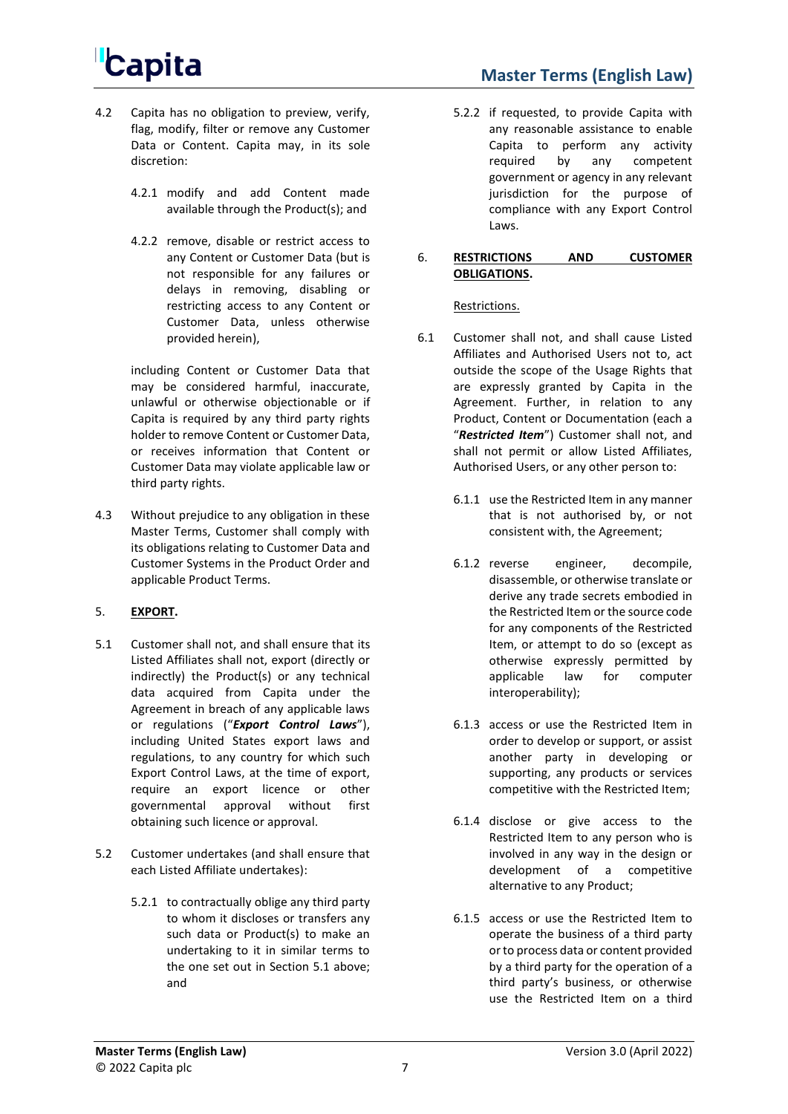- **Master Terms (English Law)**
- 4.2 Capita has no obligation to preview, verify, flag, modify, filter or remove any Customer Data or Content. Capita may, in its sole discretion:
	- 4.2.1 modify and add Content made available through the Product(s); and
	- 4.2.2 remove, disable or restrict access to any Content or Customer Data (but is not responsible for any failures or delays in removing, disabling or restricting access to any Content or Customer Data, unless otherwise provided herein),

including Content or Customer Data that may be considered harmful, inaccurate, unlawful or otherwise objectionable or if Capita is required by any third party rights holder to remove Content or Customer Data, or receives information that Content or Customer Data may violate applicable law or third party rights.

4.3 Without prejudice to any obligation in these Master Terms, Customer shall comply with its obligations relating to Customer Data and Customer Systems in the Product Order and applicable Product Terms.

### 5. **EXPORT.**

- <span id="page-6-0"></span>5.1 Customer shall not, and shall ensure that its Listed Affiliates shall not, export (directly or indirectly) the Product(s) or any technical data acquired from Capita under the Agreement in breach of any applicable laws or regulations ("*Export Control Laws*"), including United States export laws and regulations, to any country for which such Export Control Laws, at the time of export, require an export licence or other governmental approval without first obtaining such licence or approval.
- 5.2 Customer undertakes (and shall ensure that each Listed Affiliate undertakes):
	- 5.2.1 to contractually oblige any third party to whom it discloses or transfers any such data or Product(s) to make an undertaking to it in similar terms to the one set out in Section [5.1](#page-6-0) above; and

5.2.2 if requested, to provide Capita with any reasonable assistance to enable Capita to perform any activity required by any competent government or agency in any relevant jurisdiction for the purpose of compliance with any Export Control Laws.

#### 6. **RESTRICTIONS AND CUSTOMER OBLIGATIONS.**

Restrictions.

- <span id="page-6-1"></span>6.1 Customer shall not, and shall cause Listed Affiliates and Authorised Users not to, act outside the scope of the Usage Rights that are expressly granted by Capita in the Agreement. Further, in relation to any Product, Content or Documentation (each a "*Restricted Item*") Customer shall not, and shall not permit or allow Listed Affiliates, Authorised Users, or any other person to:
	- 6.1.1 use the Restricted Item in any manner that is not authorised by, or not consistent with, the Agreement;
	- 6.1.2 reverse engineer, decompile, disassemble, or otherwise translate or derive any trade secrets embodied in the Restricted Item or the source code for any components of the Restricted Item, or attempt to do so (except as otherwise expressly permitted by applicable law for computer interoperability);
	- 6.1.3 access or use the Restricted Item in order to develop or support, or assist another party in developing or supporting, any products or services competitive with the Restricted Item;
	- 6.1.4 disclose or give access to the Restricted Item to any person who is involved in any way in the design or development of a competitive alternative to any Product;
	- 6.1.5 access or use the Restricted Item to operate the business of a third party or to process data or content provided by a third party for the operation of a third party's business, or otherwise use the Restricted Item on a third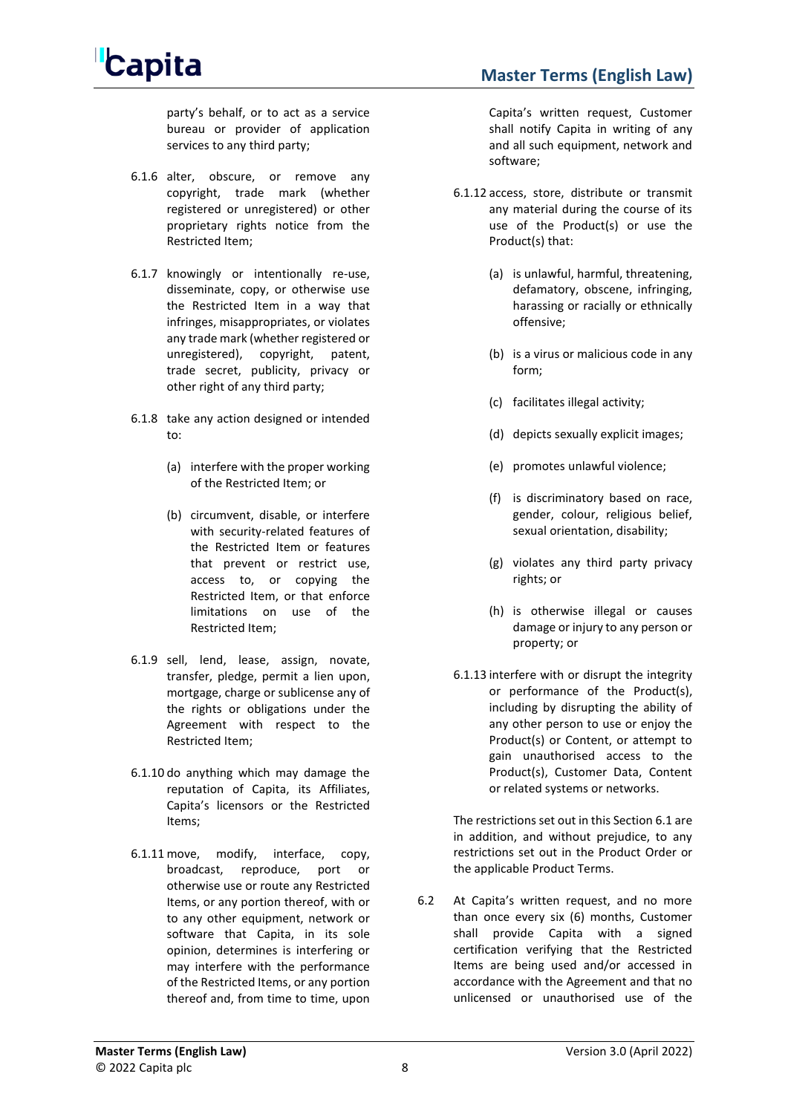

party's behalf, or to act as a service bureau or provider of application services to any third party;

- 6.1.6 alter, obscure, or remove any copyright, trade mark (whether registered or unregistered) or other proprietary rights notice from the Restricted Item;
- 6.1.7 knowingly or intentionally re-use, disseminate, copy, or otherwise use the Restricted Item in a way that infringes, misappropriates, or violates any trade mark (whether registered or unregistered), copyright, patent, trade secret, publicity, privacy or other right of any third party;
- 6.1.8 take any action designed or intended to:
	- (a) interfere with the proper working of the Restricted Item; or
	- (b) circumvent, disable, or interfere with security-related features of the Restricted Item or features that prevent or restrict use, access to, or copying the Restricted Item, or that enforce limitations on use of the Restricted Item;
- 6.1.9 sell, lend, lease, assign, novate, transfer, pledge, permit a lien upon, mortgage, charge or sublicense any of the rights or obligations under the Agreement with respect to the Restricted Item;
- 6.1.10 do anything which may damage the reputation of Capita, its Affiliates, Capita's licensors or the Restricted Items;
- 6.1.11 move, modify, interface, copy, broadcast, reproduce, port or otherwise use or route any Restricted Items, or any portion thereof, with or to any other equipment, network or software that Capita, in its sole opinion, determines is interfering or may interfere with the performance of the Restricted Items, or any portion thereof and, from time to time, upon

Capita's written request, Customer shall notify Capita in writing of any and all such equipment, network and software;

- 6.1.12 access, store, distribute or transmit any material during the course of its use of the Product(s) or use the Product(s) that:
	- (a) is unlawful, harmful, threatening, defamatory, obscene, infringing, harassing or racially or ethnically offensive;
	- (b) is a virus or malicious code in any form;
	- (c) facilitates illegal activity;
	- (d) depicts sexually explicit images;
	- (e) promotes unlawful violence;
	- (f) is discriminatory based on race, gender, colour, religious belief, sexual orientation, disability;
	- (g) violates any third party privacy rights; or
	- (h) is otherwise illegal or causes damage or injury to any person or property; or
- 6.1.13 interfere with or disrupt the integrity or performance of the Product(s), including by disrupting the ability of any other person to use or enjoy the Product(s) or Content, or attempt to gain unauthorised access to the Product(s), Customer Data, Content or related systems or networks.

The restrictions set out in this Sectio[n 6.1](#page-6-1) are in addition, and without prejudice, to any restrictions set out in the Product Order or the applicable Product Terms.

6.2 At Capita's written request, and no more than once every six (6) months, Customer shall provide Capita with a signed certification verifying that the Restricted Items are being used and/or accessed in accordance with the Agreement and that no unlicensed or unauthorised use of the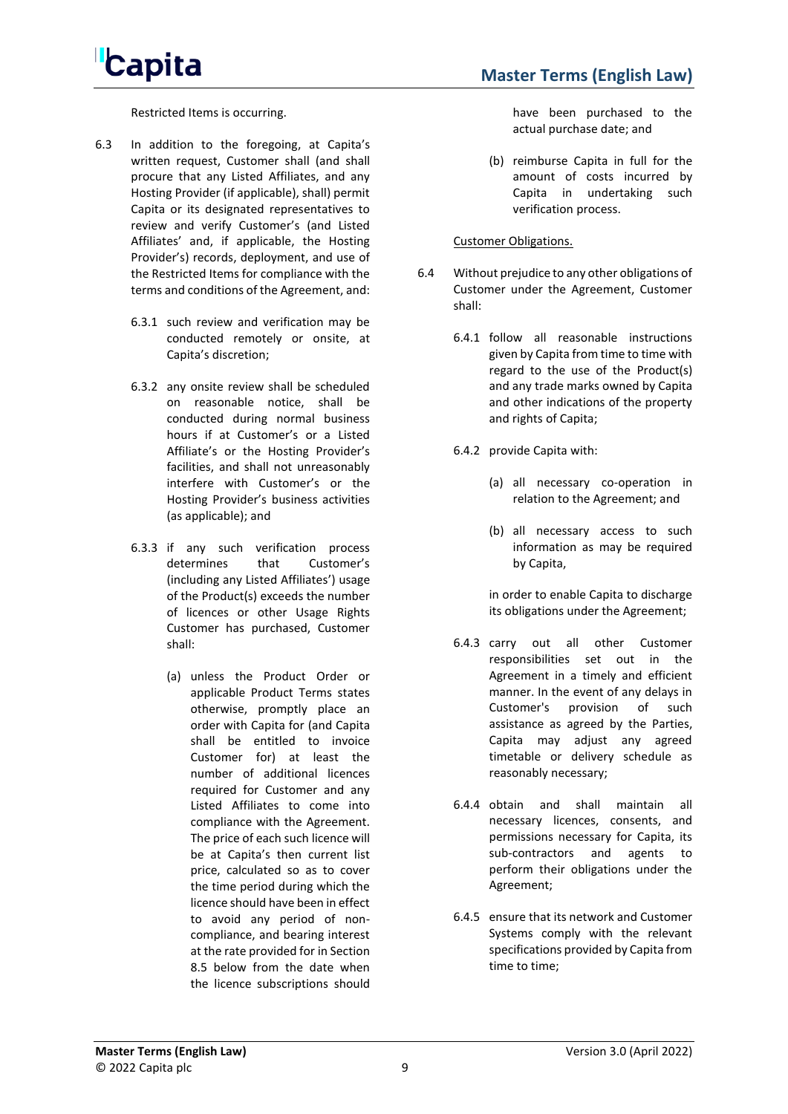Restricted Items is occurring.

- 6.3 In addition to the foregoing, at Capita's written request, Customer shall (and shall procure that any Listed Affiliates, and any Hosting Provider (if applicable), shall) permit Capita or its designated representatives to review and verify Customer's (and Listed Affiliates' and, if applicable, the Hosting Provider's) records, deployment, and use of the Restricted Items for compliance with the terms and conditions of the Agreement, and:
	- 6.3.1 such review and verification may be conducted remotely or onsite, at Capita's discretion;
	- 6.3.2 any onsite review shall be scheduled on reasonable notice, shall be conducted during normal business hours if at Customer's or a Listed Affiliate's or the Hosting Provider's facilities, and shall not unreasonably interfere with Customer's or the Hosting Provider's business activities (as applicable); and
	- 6.3.3 if any such verification process determines that Customer's (including any Listed Affiliates') usage of the Product(s) exceeds the number of licences or other Usage Rights Customer has purchased, Customer shall:
		- (a) unless the Product Order or applicable Product Terms states otherwise, promptly place an order with Capita for (and Capita shall be entitled to invoice Customer for) at least the number of additional licences required for Customer and any Listed Affiliates to come into compliance with the Agreement. The price of each such licence will be at Capita's then current list price, calculated so as to cover the time period during which the licence should have been in effect to avoid any period of noncompliance, and bearing interest at the rate provided for in Section [8.5](#page-11-1) below from the date when the licence subscriptions should

have been purchased to the actual purchase date; and

(b) reimburse Capita in full for the amount of costs incurred by Capita in undertaking such verification process.

#### Customer Obligations.

- 6.4 Without prejudice to any other obligations of Customer under the Agreement, Customer shall:
	- 6.4.1 follow all reasonable instructions given by Capita from time to time with regard to the use of the Product(s) and any trade marks owned by Capita and other indications of the property and rights of Capita;
	- 6.4.2 provide Capita with:
		- (a) all necessary co-operation in relation to the Agreement; and
		- (b) all necessary access to such information as may be required by Capita,

in order to enable Capita to discharge its obligations under the Agreement;

- 6.4.3 carry out all other Customer responsibilities set out in the Agreement in a timely and efficient manner. In the event of any delays in Customer's provision of such assistance as agreed by the Parties, Capita may adjust any agreed timetable or delivery schedule as reasonably necessary;
- 6.4.4 obtain and shall maintain all necessary licences, consents, and permissions necessary for Capita, its sub-contractors and agents to perform their obligations under the Agreement;
- 6.4.5 ensure that its network and Customer Systems comply with the relevant specifications provided by Capita from time to time;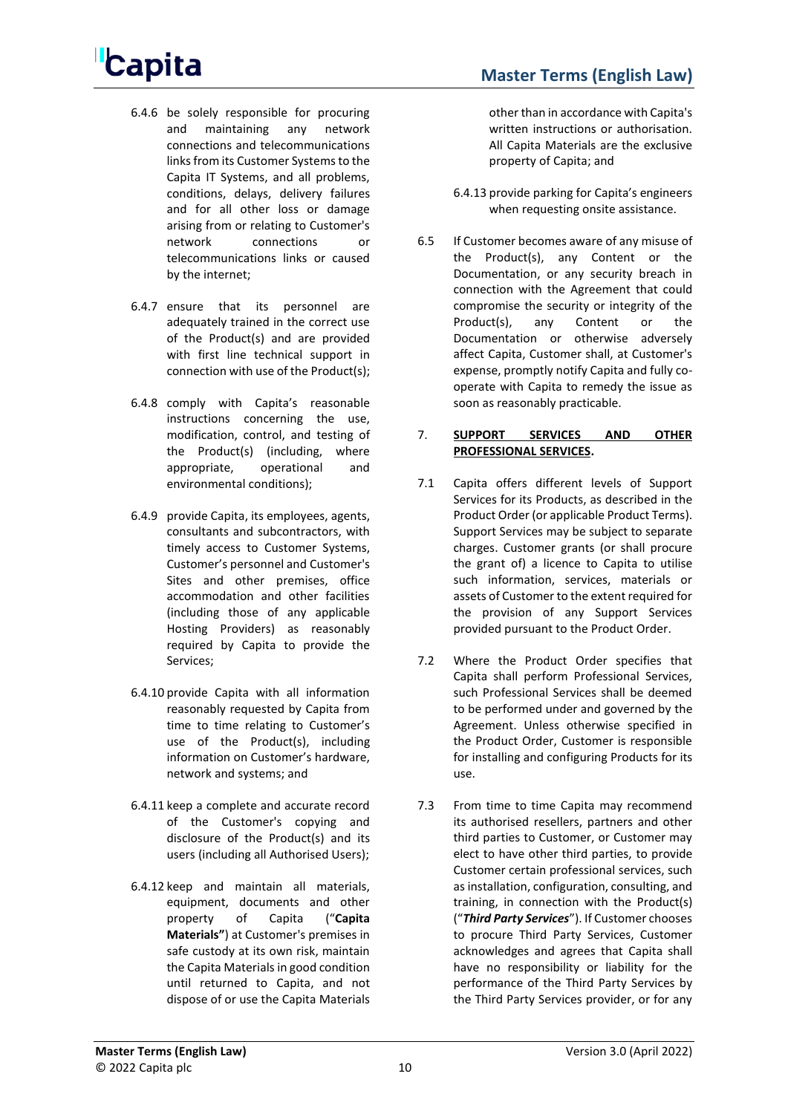- 6.4.6 be solely responsible for procuring and maintaining any network connections and telecommunications links from its Customer Systems to the Capita IT Systems, and all problems, conditions, delays, delivery failures and for all other loss or damage arising from or relating to Customer's network connections or telecommunications links or caused by the internet;
- 6.4.7 ensure that its personnel are adequately trained in the correct use of the Product(s) and are provided with first line technical support in connection with use of the Product(s);
- 6.4.8 comply with Capita's reasonable instructions concerning the use, modification, control, and testing of the Product(s) (including, where appropriate, operational and environmental conditions);
- 6.4.9 provide Capita, its employees, agents, consultants and subcontractors, with timely access to Customer Systems, Customer's personnel and Customer's Sites and other premises, office accommodation and other facilities (including those of any applicable Hosting Providers) as reasonably required by Capita to provide the Services;
- 6.4.10 provide Capita with all information reasonably requested by Capita from time to time relating to Customer's use of the Product(s), including information on Customer's hardware, network and systems; and
- 6.4.11 keep a complete and accurate record of the Customer's copying and disclosure of the Product(s) and its users (including all Authorised Users);
- <span id="page-9-0"></span>6.4.12 keep and maintain all materials, equipment, documents and other property of Capita ("**Capita Materials"**) at Customer's premises in safe custody at its own risk, maintain the Capita Materials in good condition until returned to Capita, and not dispose of or use the Capita Materials

other than in accordance with Capita's written instructions or authorisation. All Capita Materials are the exclusive property of Capita; and

- 6.4.13 provide parking for Capita's engineers when requesting onsite assistance.
- 6.5 If Customer becomes aware of any misuse of the Product(s), any Content or the Documentation, or any security breach in connection with the Agreement that could compromise the security or integrity of the Product(s), any Content or the Documentation or otherwise adversely affect Capita, Customer shall, at Customer's expense, promptly notify Capita and fully cooperate with Capita to remedy the issue as soon as reasonably practicable.

### 7. **SUPPORT SERVICES AND OTHER PROFESSIONAL SERVICES.**

- 7.1 Capita offers different levels of Support Services for its Products, as described in the Product Order (or applicable Product Terms). Support Services may be subject to separate charges. Customer grants (or shall procure the grant of) a licence to Capita to utilise such information, services, materials or assets of Customer to the extent required for the provision of any Support Services provided pursuant to the Product Order.
- 7.2 Where the Product Order specifies that Capita shall perform Professional Services, such Professional Services shall be deemed to be performed under and governed by the Agreement. Unless otherwise specified in the Product Order, Customer is responsible for installing and configuring Products for its use.
- <span id="page-9-1"></span>7.3 From time to time Capita may recommend its authorised resellers, partners and other third parties to Customer, or Customer may elect to have other third parties, to provide Customer certain professional services, such as installation, configuration, consulting, and training, in connection with the Product(s) ("*Third Party Services*"). If Customer chooses to procure Third Party Services, Customer acknowledges and agrees that Capita shall have no responsibility or liability for the performance of the Third Party Services by the Third Party Services provider, or for any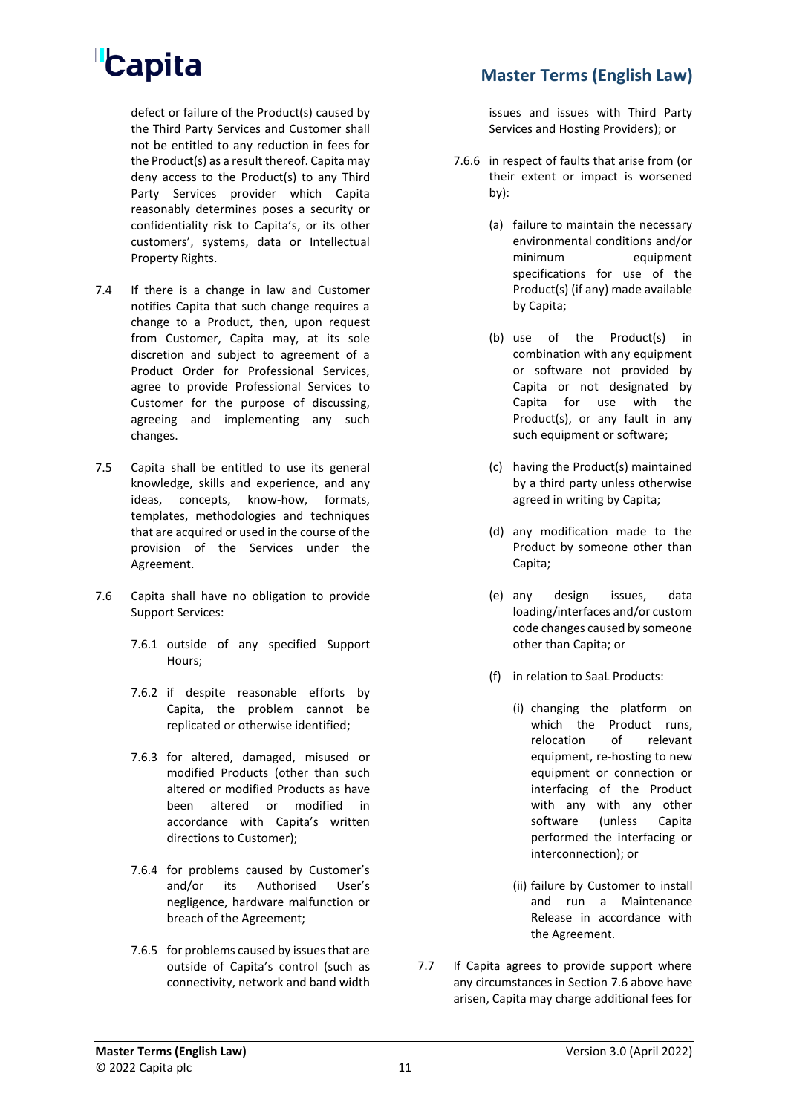defect or failure of the Product(s) caused by the Third Party Services and Customer shall not be entitled to any reduction in fees for the Product(s) as a result thereof. Capita may deny access to the Product(s) to any Third Party Services provider which Capita reasonably determines poses a security or confidentiality risk to Capita's, or its other customers', systems, data or Intellectual Property Rights.

- 7.4 If there is a change in law and Customer notifies Capita that such change requires a change to a Product, then, upon request from Customer, Capita may, at its sole discretion and subject to agreement of a Product Order for Professional Services, agree to provide Professional Services to Customer for the purpose of discussing, agreeing and implementing any such changes.
- 7.5 Capita shall be entitled to use its general knowledge, skills and experience, and any ideas, concepts, know-how, formats, templates, methodologies and techniques that are acquired or used in the course of the provision of the Services under the Agreement.
- <span id="page-10-0"></span>7.6 Capita shall have no obligation to provide Support Services:
	- 7.6.1 outside of any specified Support Hours;
	- 7.6.2 if despite reasonable efforts by Capita, the problem cannot be replicated or otherwise identified;
	- 7.6.3 for altered, damaged, misused or modified Products (other than such altered or modified Products as have been altered or modified in accordance with Capita's written directions to Customer);
	- 7.6.4 for problems caused by Customer's and/or its Authorised User's negligence, hardware malfunction or breach of the Agreement;
	- 7.6.5 for problems caused by issues that are outside of Capita's control (such as connectivity, network and band width

issues and issues with Third Party Services and Hosting Providers); or

- 7.6.6 in respect of faults that arise from (or their extent or impact is worsened by):
	- (a) failure to maintain the necessary environmental conditions and/or minimum equipment specifications for use of the Product(s) (if any) made available by Capita;
	- (b) use of the Product(s) in combination with any equipment or software not provided by Capita or not designated by Capita for use with the Product(s), or any fault in any such equipment or software;
	- (c) having the Product(s) maintained by a third party unless otherwise agreed in writing by Capita;
	- (d) any modification made to the Product by someone other than Capita;
	- (e) any design issues, data loading/interfaces and/or custom code changes caused by someone other than Capita; or
	- (f) in relation to SaaL Products:
		- (i) changing the platform on which the Product runs, relocation of relevant equipment, re-hosting to new equipment or connection or interfacing of the Product with any with any other software (unless Capita performed the interfacing or interconnection); or
		- (ii) failure by Customer to install and run a Maintenance Release in accordance with the Agreement.
- 7.7 If Capita agrees to provide support where any circumstances in Sectio[n 7.6](#page-10-0) above have arisen, Capita may charge additional fees for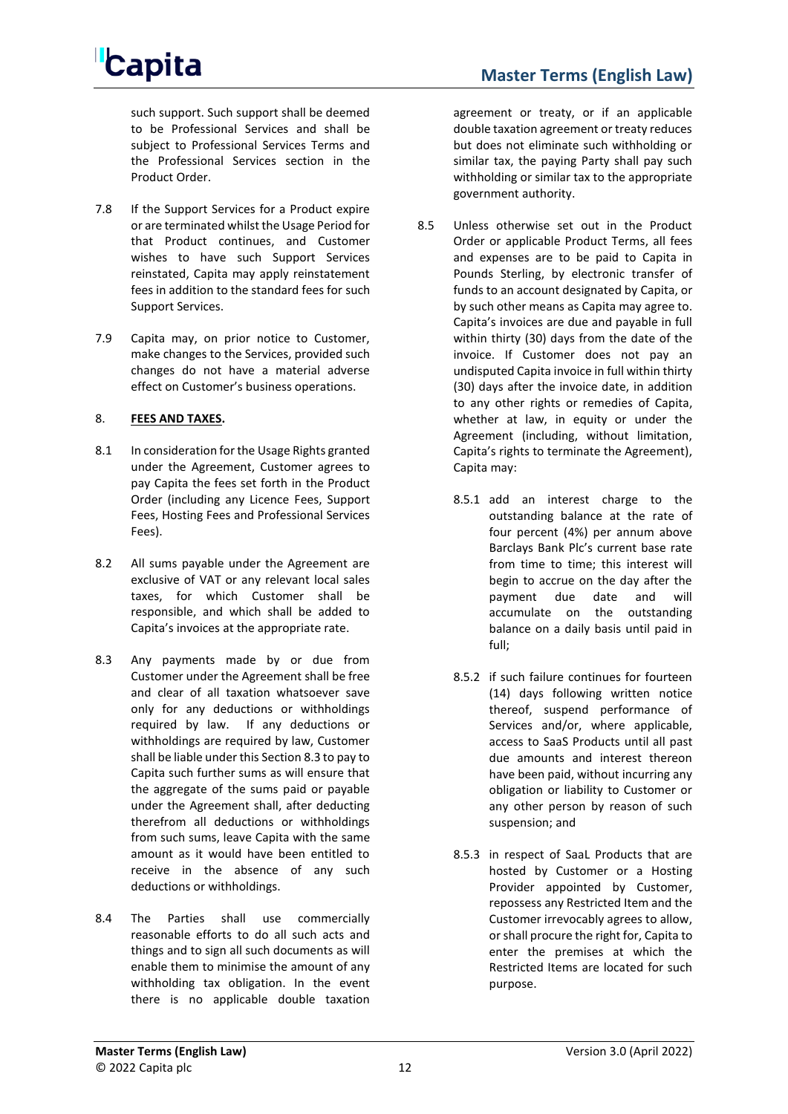such support. Such support shall be deemed to be Professional Services and shall be subject to Professional Services Terms and the Professional Services section in the Product Order.

- 7.8 If the Support Services for a Product expire or are terminated whilst the Usage Period for that Product continues, and Customer wishes to have such Support Services reinstated, Capita may apply reinstatement fees in addition to the standard fees for such Support Services.
- 7.9 Capita may, on prior notice to Customer, make changes to the Services, provided such changes do not have a material adverse effect on Customer's business operations.

### 8. **FEES AND TAXES.**

- 8.1 In consideration for the Usage Rights granted under the Agreement, Customer agrees to pay Capita the fees set forth in the Product Order (including any Licence Fees, Support Fees, Hosting Fees and Professional Services Fees).
- 8.2 All sums payable under the Agreement are exclusive of VAT or any relevant local sales taxes, for which Customer shall be responsible, and which shall be added to Capita's invoices at the appropriate rate.
- <span id="page-11-2"></span><span id="page-11-0"></span>8.3 Any payments made by or due from Customer under the Agreement shall be free and clear of all taxation whatsoever save only for any deductions or withholdings required by law. If any deductions or withholdings are required by law, Customer shall be liable under this Sectio[n 8.3](#page-11-2) to pay to Capita such further sums as will ensure that the aggregate of the sums paid or payable under the Agreement shall, after deducting therefrom all deductions or withholdings from such sums, leave Capita with the same amount as it would have been entitled to receive in the absence of any such deductions or withholdings.
- 8.4 The Parties shall use commercially reasonable efforts to do all such acts and things and to sign all such documents as will enable them to minimise the amount of any withholding tax obligation. In the event there is no applicable double taxation

agreement or treaty, or if an applicable double taxation agreement or treaty reduces but does not eliminate such withholding or similar tax, the paying Party shall pay such withholding or similar tax to the appropriate government authority.

- <span id="page-11-1"></span>8.5 Unless otherwise set out in the Product Order or applicable Product Terms, all fees and expenses are to be paid to Capita in Pounds Sterling, by electronic transfer of funds to an account designated by Capita, or by such other means as Capita may agree to. Capita's invoices are due and payable in full within thirty (30) days from the date of the invoice. If Customer does not pay an undisputed Capita invoice in full within thirty (30) days after the invoice date, in addition to any other rights or remedies of Capita, whether at law, in equity or under the Agreement (including, without limitation, Capita's rights to terminate the Agreement), Capita may:
	- 8.5.1 add an interest charge to the outstanding balance at the rate of four percent (4%) per annum above Barclays Bank Plc's current base rate from time to time; this interest will begin to accrue on the day after the payment due date and will accumulate on the outstanding balance on a daily basis until paid in full;
	- 8.5.2 if such failure continues for fourteen (14) days following written notice thereof, suspend performance of Services and/or, where applicable, access to SaaS Products until all past due amounts and interest thereon have been paid, without incurring any obligation or liability to Customer or any other person by reason of such suspension; and
	- 8.5.3 in respect of SaaL Products that are hosted by Customer or a Hosting Provider appointed by Customer, repossess any Restricted Item and the Customer irrevocably agrees to allow, or shall procure the right for, Capita to enter the premises at which the Restricted Items are located for such purpose.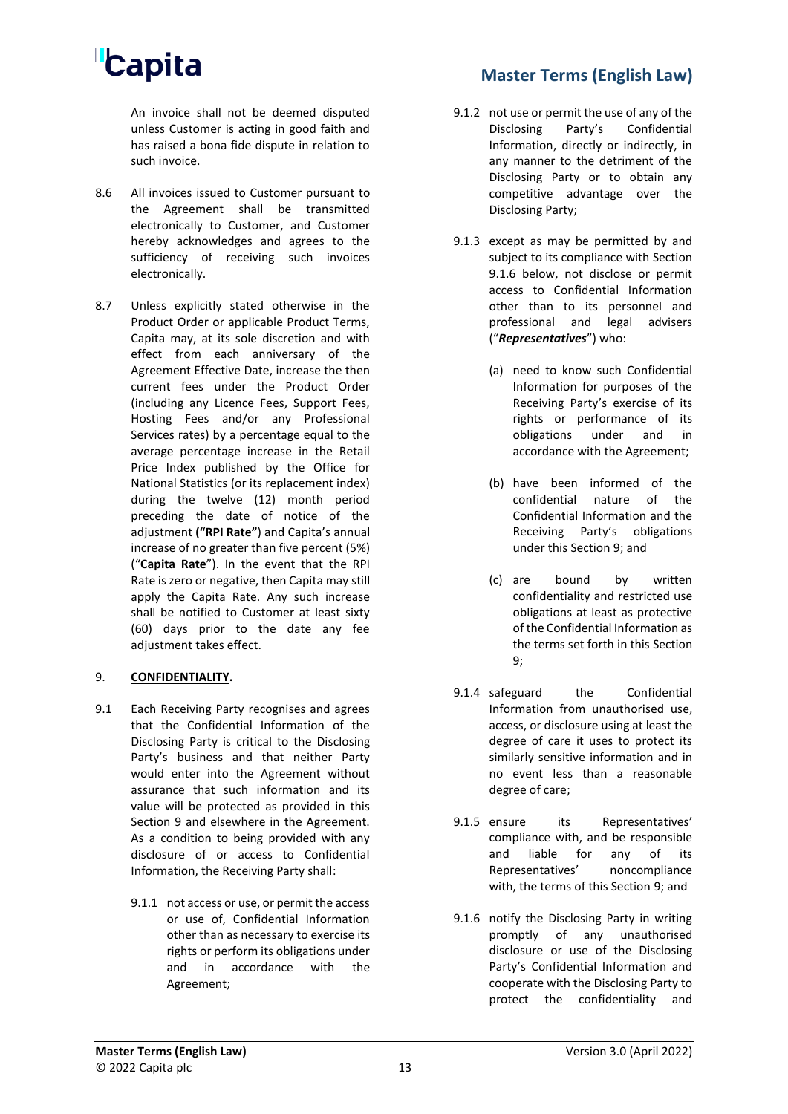An invoice shall not be deemed disputed unless Customer is acting in good faith and has raised a bona fide dispute in relation to such invoice.

- 8.6 All invoices issued to Customer pursuant to the Agreement shall be transmitted electronically to Customer, and Customer hereby acknowledges and agrees to the sufficiency of receiving such invoices electronically.
- 8.7 Unless explicitly stated otherwise in the Product Order or applicable Product Terms, Capita may, at its sole discretion and with effect from each anniversary of the Agreement Effective Date, increase the then current fees under the Product Order (including any Licence Fees, Support Fees, Hosting Fees and/or any Professional Services rates) by a percentage equal to the average percentage increase in the Retail Price Index published by the Office for National Statistics (or its replacement index) during the twelve (12) month period preceding the date of notice of the adjustment **("RPI Rate"**) and Capita's annual increase of no greater than five percent (5%) ("**Capita Rate**"). In the event that the RPI Rate is zero or negative, then Capita may still apply the Capita Rate. Any such increase shall be notified to Customer at least sixty (60) days prior to the date any fee adjustment takes effect.

### <span id="page-12-0"></span>9. **CONFIDENTIALITY.**

- 9.1 Each Receiving Party recognises and agrees that the Confidential Information of the Disclosing Party is critical to the Disclosing Party's business and that neither Party would enter into the Agreement without assurance that such information and its value will be protected as provided in this Section [9](#page-12-0) and elsewhere in the Agreement. As a condition to being provided with any disclosure of or access to Confidential Information, the Receiving Party shall:
	- 9.1.1 not access or use, or permit the access or use of, Confidential Information other than as necessary to exercise its rights or perform its obligations under and in accordance with the Agreement;

### **Master Terms (English Law)**

- 9.1.2 not use or permit the use of any of the Disclosing Party's Confidential Information, directly or indirectly, in any manner to the detriment of the Disclosing Party or to obtain any competitive advantage over the Disclosing Party;
- 9.1.3 except as may be permitted by and subject to its compliance with Section [9.1.6](#page-12-1) below, not disclose or permit access to Confidential Information other than to its personnel and professional and legal advisers ("*Representatives*") who:
	- (a) need to know such Confidential Information for purposes of the Receiving Party's exercise of its rights or performance of its obligations under and in accordance with the Agreement;
	- (b) have been informed of the confidential nature of the Confidential Information and the Receiving Party's obligations under this Section [9;](#page-12-0) and
	- (c) are bound by written confidentiality and restricted use obligations at least as protective of the Confidential Information as the terms set forth in this Section [9;](#page-12-0)
- 9.1.4 safeguard the Confidential Information from unauthorised use, access, or disclosure using at least the degree of care it uses to protect its similarly sensitive information and in no event less than a reasonable degree of care;
- 9.1.5 ensure its Representatives' compliance with, and be responsible and liable for any of its Representatives' noncompliance with, the terms of this Section [9;](#page-12-0) and
- <span id="page-12-1"></span>9.1.6 notify the Disclosing Party in writing promptly of any unauthorised disclosure or use of the Disclosing Party's Confidential Information and cooperate with the Disclosing Party to protect the confidentiality and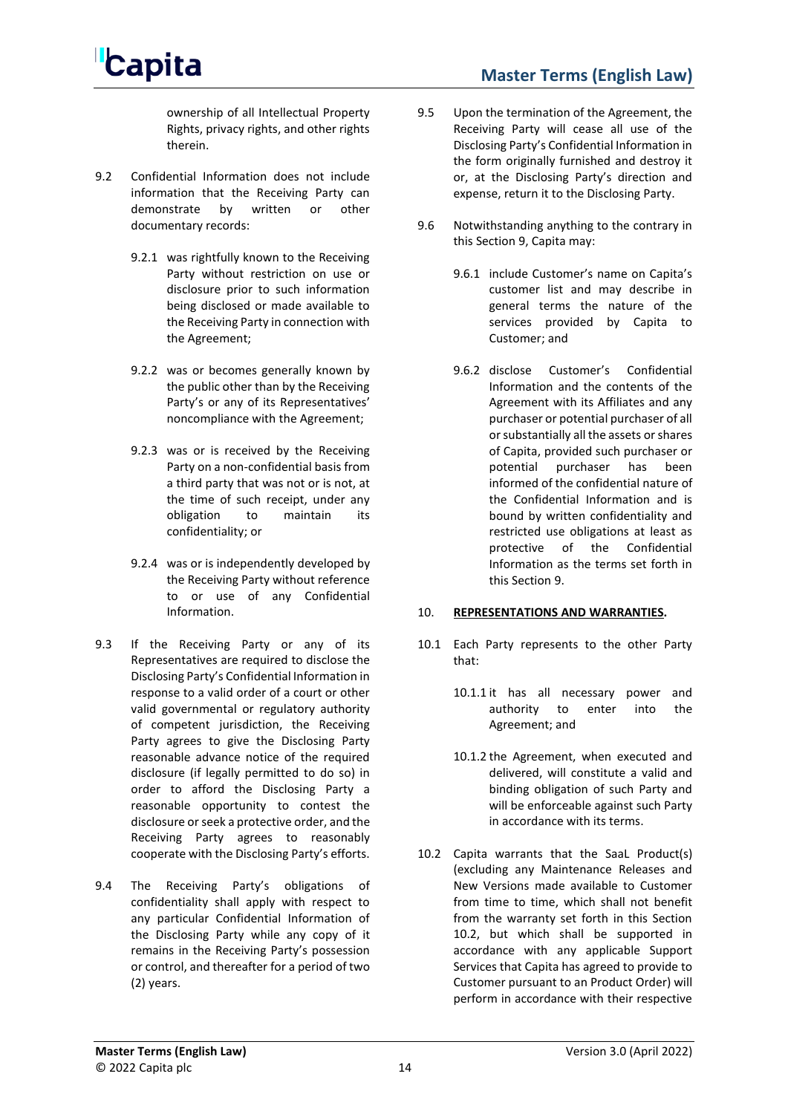ownership of all Intellectual Property Rights, privacy rights, and other rights therein.

- 9.2 Confidential Information does not include information that the Receiving Party can demonstrate by written or other documentary records:
	- 9.2.1 was rightfully known to the Receiving Party without restriction on use or disclosure prior to such information being disclosed or made available to the Receiving Party in connection with the Agreement;
	- 9.2.2 was or becomes generally known by the public other than by the Receiving Party's or any of its Representatives' noncompliance with the Agreement;
	- 9.2.3 was or is received by the Receiving Party on a non-confidential basis from a third party that was not or is not, at the time of such receipt, under any obligation to maintain its confidentiality; or
	- 9.2.4 was or is independently developed by the Receiving Party without reference to or use of any Confidential Information.
- 9.3 If the Receiving Party or any of its Representatives are required to disclose the Disclosing Party's Confidential Information in response to a valid order of a court or other valid governmental or regulatory authority of competent jurisdiction, the Receiving Party agrees to give the Disclosing Party reasonable advance notice of the required disclosure (if legally permitted to do so) in order to afford the Disclosing Party a reasonable opportunity to contest the disclosure or seek a protective order, and the Receiving Party agrees to reasonably cooperate with the Disclosing Party's efforts.
- 9.4 The Receiving Party's obligations of confidentiality shall apply with respect to any particular Confidential Information of the Disclosing Party while any copy of it remains in the Receiving Party's possession or control, and thereafter for a period of two (2) years.
- 9.5 Upon the termination of the Agreement, the Receiving Party will cease all use of the Disclosing Party's Confidential Information in the form originally furnished and destroy it or, at the Disclosing Party's direction and expense, return it to the Disclosing Party.
- 9.6 Notwithstanding anything to the contrary in this Section [9,](#page-12-0) Capita may:
	- 9.6.1 include Customer's name on Capita's customer list and may describe in general terms the nature of the services provided by Capita to Customer; and
	- 9.6.2 disclose Customer's Confidential Information and the contents of the Agreement with its Affiliates and any purchaser or potential purchaser of all or substantially all the assets or shares of Capita, provided such purchaser or potential purchaser has been informed of the confidential nature of the Confidential Information and is bound by written confidentiality and restricted use obligations at least as protective of the Confidential Information as the terms set forth in this Section [9.](#page-12-0)

### 10. **REPRESENTATIONS AND WARRANTIES.**

- 10.1 Each Party represents to the other Party that:
	- 10.1.1 it has all necessary power and authority to enter into the Agreement; and
	- 10.1.2 the Agreement, when executed and delivered, will constitute a valid and binding obligation of such Party and will be enforceable against such Party in accordance with its terms.
- <span id="page-13-0"></span>10.2 Capita warrants that the SaaL Product(s) (excluding any Maintenance Releases and New Versions made available to Customer from time to time, which shall not benefit from the warranty set forth in this Section [10.2,](#page-13-0) but which shall be supported in accordance with any applicable Support Services that Capita has agreed to provide to Customer pursuant to an Product Order) will perform in accordance with their respective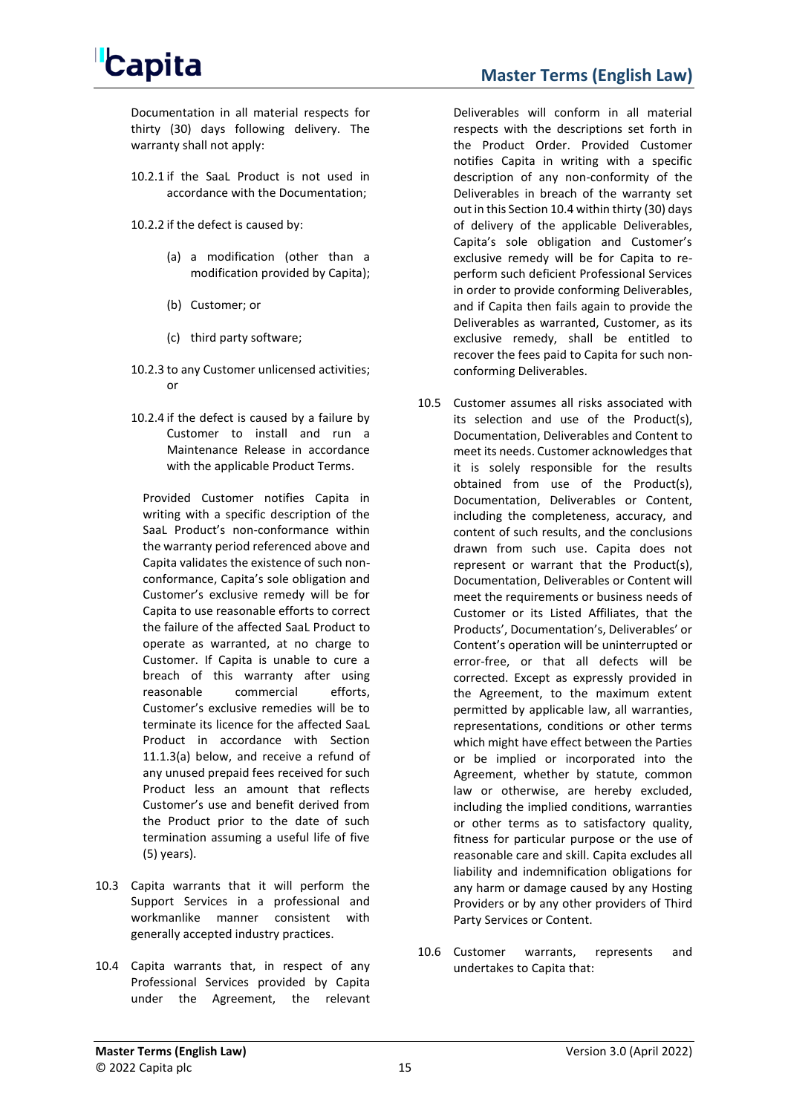

Documentation in all material respects for thirty (30) days following delivery. The warranty shall not apply:

- 10.2.1 if the SaaL Product is not used in accordance with the Documentation;
- 10.2.2 if the defect is caused by:
	- (a) a modification (other than a modification provided by Capita);
	- (b) Customer; or
	- (c) third party software;
- 10.2.3 to any Customer unlicensed activities; or
- 10.2.4 if the defect is caused by a failure by Customer to install and run a Maintenance Release in accordance with the applicable Product Terms.

Provided Customer notifies Capita in writing with a specific description of the SaaL Product's non-conformance within the warranty period referenced above and Capita validates the existence of such nonconformance, Capita's sole obligation and Customer's exclusive remedy will be for Capita to use reasonable efforts to correct the failure of the affected SaaL Product to operate as warranted, at no charge to Customer. If Capita is unable to cure a breach of this warranty after using reasonable commercial efforts, Customer's exclusive remedies will be to terminate its licence for the affected SaaL Product in accordance with Section [11.1.3\(a\)](#page-15-1) below, and receive a refund of any unused prepaid fees received for such Product less an amount that reflects Customer's use and benefit derived from the Product prior to the date of such termination assuming a useful life of five (5) years).

- 10.3 Capita warrants that it will perform the Support Services in a professional and workmanlike manner consistent with generally accepted industry practices.
- <span id="page-14-0"></span>10.4 Capita warrants that, in respect of any Professional Services provided by Capita under the Agreement, the relevant

**Master Terms (English Law)**

Deliverables will conform in all material respects with the descriptions set forth in the Product Order. Provided Customer notifies Capita in writing with a specific description of any non-conformity of the Deliverables in breach of the warranty set out in this Sectio[n 10.4](#page-14-0) within thirty (30) days of delivery of the applicable Deliverables, Capita's sole obligation and Customer's exclusive remedy will be for Capita to reperform such deficient Professional Services in order to provide conforming Deliverables, and if Capita then fails again to provide the Deliverables as warranted, Customer, as its exclusive remedy, shall be entitled to recover the fees paid to Capita for such nonconforming Deliverables.

- 10.5 Customer assumes all risks associated with its selection and use of the Product(s), Documentation, Deliverables and Content to meet its needs. Customer acknowledges that it is solely responsible for the results obtained from use of the Product(s), Documentation, Deliverables or Content, including the completeness, accuracy, and content of such results, and the conclusions drawn from such use. Capita does not represent or warrant that the Product(s), Documentation, Deliverables or Content will meet the requirements or business needs of Customer or its Listed Affiliates, that the Products', Documentation's, Deliverables' or Content's operation will be uninterrupted or error-free, or that all defects will be corrected. Except as expressly provided in the Agreement, to the maximum extent permitted by applicable law, all warranties, representations, conditions or other terms which might have effect between the Parties or be implied or incorporated into the Agreement, whether by statute, common law or otherwise, are hereby excluded, including the implied conditions, warranties or other terms as to satisfactory quality, fitness for particular purpose or the use of reasonable care and skill. Capita excludes all liability and indemnification obligations for any harm or damage caused by any Hosting Providers or by any other providers of Third Party Services or Content.
- 10.6 Customer warrants, represents and undertakes to Capita that: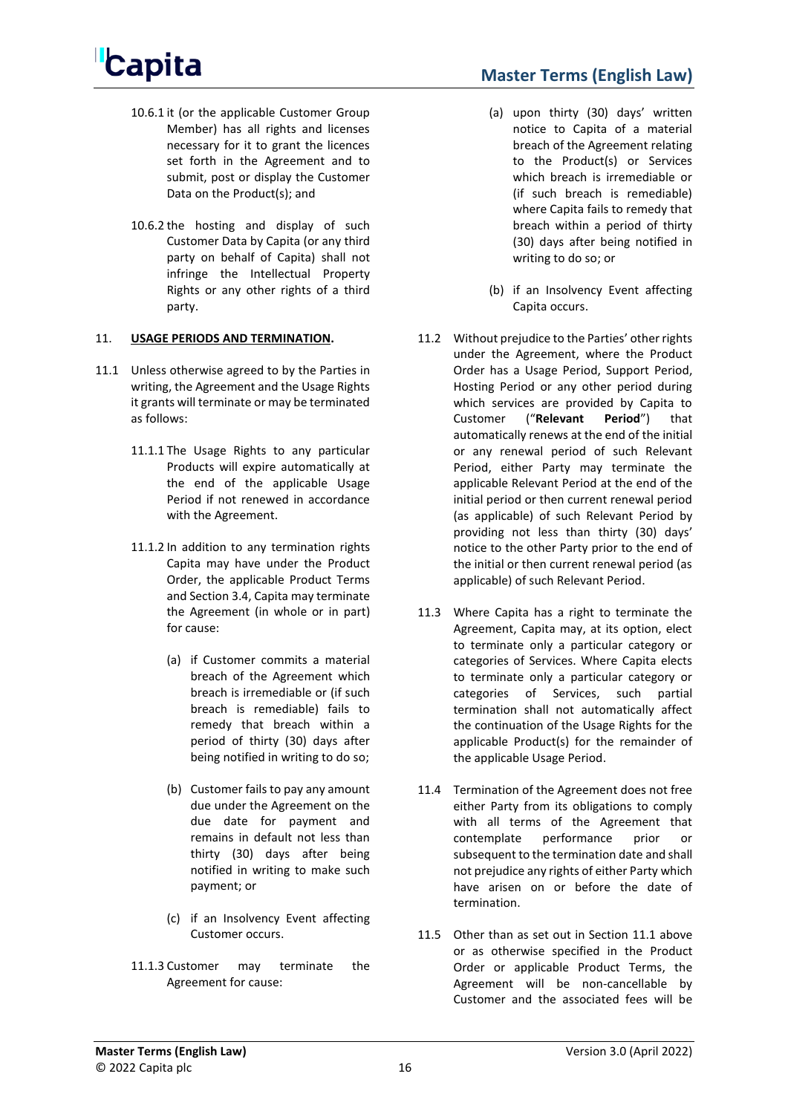- **Master Terms (English Law)**
- 10.6.1 it (or the applicable Customer Group Member) has all rights and licenses necessary for it to grant the licences set forth in the Agreement and to submit, post or display the Customer Data on the Product(s); and
- 10.6.2 the hosting and display of such Customer Data by Capita (or any third party on behalf of Capita) shall not infringe the Intellectual Property Rights or any other rights of a third party.

### 11. **USAGE PERIODS AND TERMINATION.**

- <span id="page-15-2"></span>11.1 Unless otherwise agreed to by the Parties in writing, the Agreement and the Usage Rights it grants will terminate or may be terminated as follows:
	- 11.1.1 The Usage Rights to any particular Products will expire automatically at the end of the applicable Usage Period if not renewed in accordance with the Agreement.
	- 11.1.2 In addition to any termination rights Capita may have under the Product Order, the applicable Product Terms and Sectio[n 3.4,](#page-5-1) Capita may terminate the Agreement (in whole or in part) for cause:
		- (a) if Customer commits a material breach of the Agreement which breach is irremediable or (if such breach is remediable) fails to remedy that breach within a period of thirty (30) days after being notified in writing to do so;
		- (b) Customer fails to pay any amount due under the Agreement on the due date for payment and remains in default not less than thirty (30) days after being notified in writing to make such payment; or
		- (c) if an Insolvency Event affecting Customer occurs.
	- 11.1.3 Customer may terminate the Agreement for cause:
- <span id="page-15-1"></span>(a) upon thirty (30) days' written notice to Capita of a material breach of the Agreement relating to the Product(s) or Services which breach is irremediable or (if such breach is remediable) where Capita fails to remedy that breach within a period of thirty (30) days after being notified in writing to do so; or
- (b) if an Insolvency Event affecting Capita occurs.
- <span id="page-15-0"></span>11.2 Without prejudice to the Parties' other rights under the Agreement, where the Product Order has a Usage Period, Support Period, Hosting Period or any other period during which services are provided by Capita to Customer ("**Relevant Period**") that automatically renews at the end of the initial or any renewal period of such Relevant Period, either Party may terminate the applicable Relevant Period at the end of the initial period or then current renewal period (as applicable) of such Relevant Period by providing not less than thirty (30) days' notice to the other Party prior to the end of the initial or then current renewal period (as applicable) of such Relevant Period.
- 11.3 Where Capita has a right to terminate the Agreement, Capita may, at its option, elect to terminate only a particular category or categories of Services. Where Capita elects to terminate only a particular category or categories of Services, such partial termination shall not automatically affect the continuation of the Usage Rights for the applicable Product(s) for the remainder of the applicable Usage Period.
- 11.4 Termination of the Agreement does not free either Party from its obligations to comply with all terms of the Agreement that contemplate performance prior or subsequent to the termination date and shall not prejudice any rights of either Party which have arisen on or before the date of termination.
- 11.5 Other than as set out in Section [11.1](#page-15-2) above or as otherwise specified in the Product Order or applicable Product Terms, the Agreement will be non-cancellable by Customer and the associated fees will be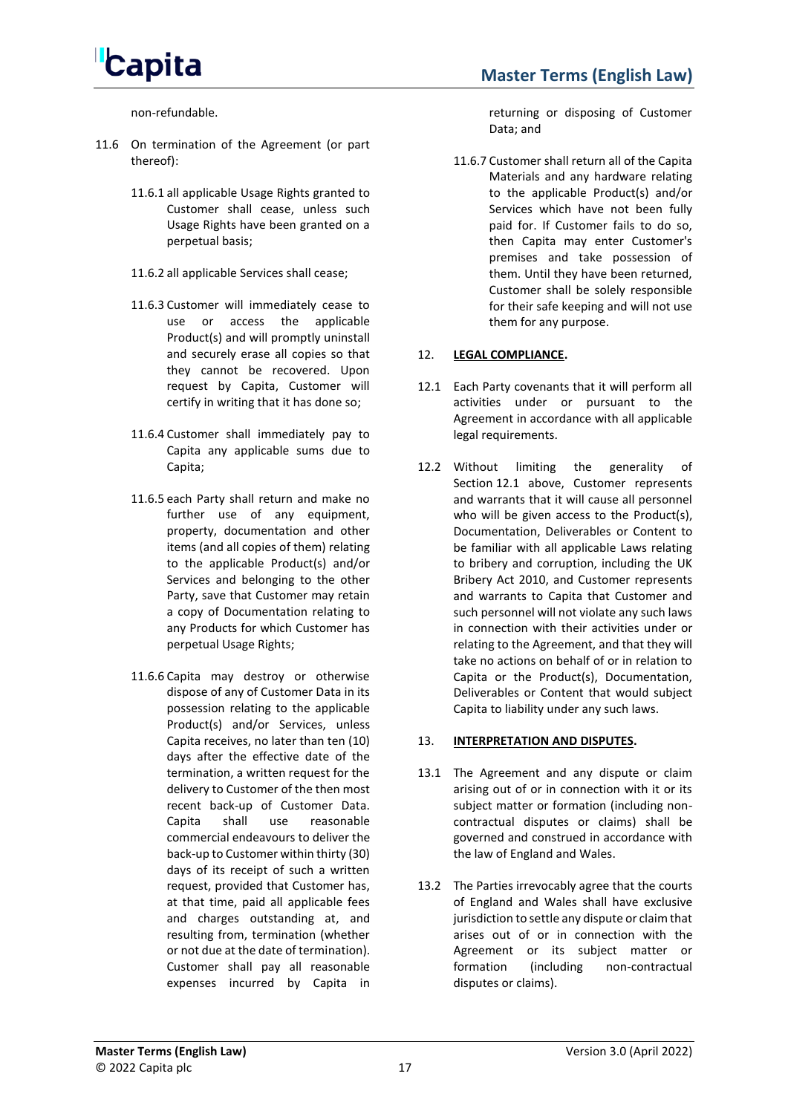

non-refundable.

- 11.6 On termination of the Agreement (or part thereof):
	- 11.6.1 all applicable Usage Rights granted to Customer shall cease, unless such Usage Rights have been granted on a perpetual basis;
	- 11.6.2 all applicable Services shall cease;
	- 11.6.3 Customer will immediately cease to use or access the applicable Product(s) and will promptly uninstall and securely erase all copies so that they cannot be recovered. Upon request by Capita, Customer will certify in writing that it has done so;
	- 11.6.4 Customer shall immediately pay to Capita any applicable sums due to Capita;
	- 11.6.5 each Party shall return and make no further use of any equipment, property, documentation and other items (and all copies of them) relating to the applicable Product(s) and/or Services and belonging to the other Party, save that Customer may retain a copy of Documentation relating to any Products for which Customer has perpetual Usage Rights;
	- 11.6.6 Capita may destroy or otherwise dispose of any of Customer Data in its possession relating to the applicable Product(s) and/or Services, unless Capita receives, no later than ten (10) days after the effective date of the termination, a written request for the delivery to Customer of the then most recent back-up of Customer Data. Capita shall use reasonable commercial endeavours to deliver the back-up to Customer within thirty (30) days of its receipt of such a written request, provided that Customer has, at that time, paid all applicable fees and charges outstanding at, and resulting from, termination (whether or not due at the date of termination). Customer shall pay all reasonable expenses incurred by Capita in

returning or disposing of Customer Data; and

11.6.7 Customer shall return all of the Capita Materials and any hardware relating to the applicable Product(s) and/or Services which have not been fully paid for. If Customer fails to do so, then Capita may enter Customer's premises and take possession of them. Until they have been returned, Customer shall be solely responsible for their safe keeping and will not use them for any purpose.

### 12. **LEGAL COMPLIANCE.**

- <span id="page-16-0"></span>12.1 Each Party covenants that it will perform all activities under or pursuant to the Agreement in accordance with all applicable legal requirements.
- 12.2 Without limiting the generality of Section [12.1](#page-16-0) above, Customer represents and warrants that it will cause all personnel who will be given access to the Product(s), Documentation, Deliverables or Content to be familiar with all applicable Laws relating to bribery and corruption, including the UK Bribery Act 2010, and Customer represents and warrants to Capita that Customer and such personnel will not violate any such laws in connection with their activities under or relating to the Agreement, and that they will take no actions on behalf of or in relation to Capita or the Product(s), Documentation, Deliverables or Content that would subject Capita to liability under any such laws.

### 13. **INTERPRETATION AND DISPUTES.**

- 13.1 The Agreement and any dispute or claim arising out of or in connection with it or its subject matter or formation (including noncontractual disputes or claims) shall be governed and construed in accordance with the law of England and Wales.
- 13.2 The Parties irrevocably agree that the courts of England and Wales shall have exclusive jurisdiction to settle any dispute or claim that arises out of or in connection with the Agreement or its subject matter or formation (including non-contractual disputes or claims).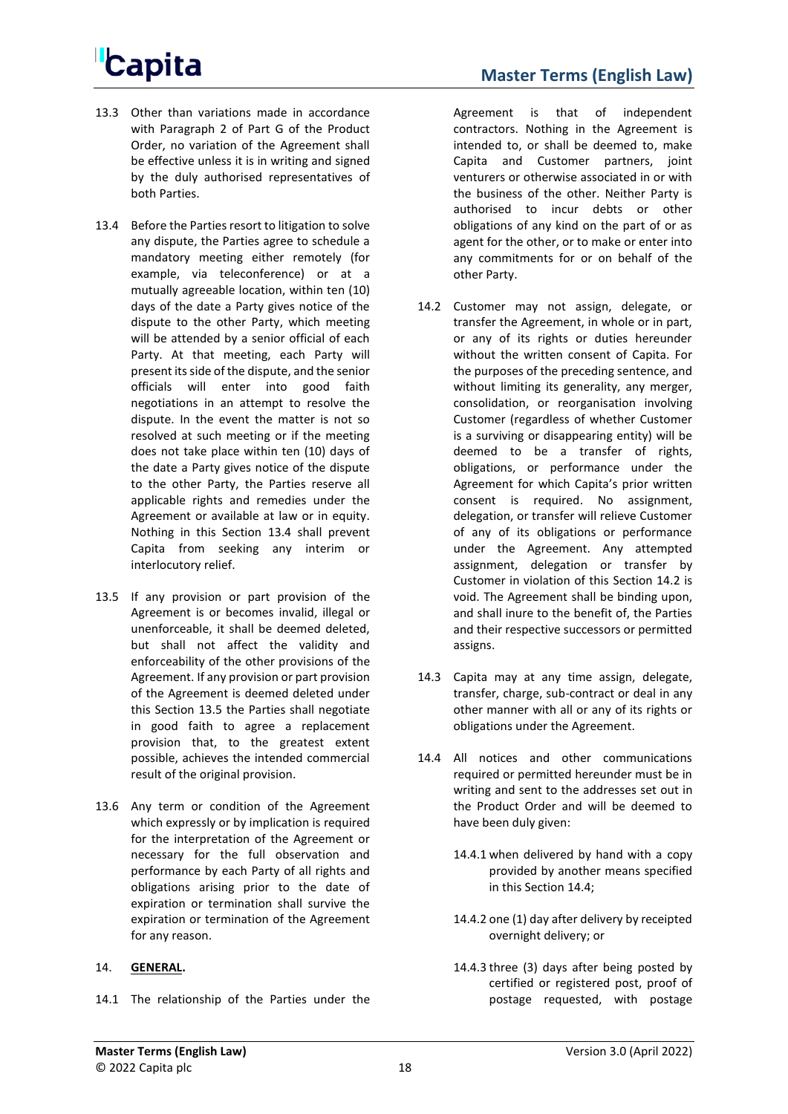- 13.3 Other than variations made in accordance with Paragraph 2 of Part G of the Product Order, no variation of the Agreement shall be effective unless it is in writing and signed by the duly authorised representatives of both Parties.
- <span id="page-17-0"></span>13.4 Before the Parties resort to litigation to solve any dispute, the Parties agree to schedule a mandatory meeting either remotely (for example, via teleconference) or at a mutually agreeable location, within ten (10) days of the date a Party gives notice of the dispute to the other Party, which meeting will be attended by a senior official of each Party. At that meeting, each Party will present its side of the dispute, and the senior officials will enter into good faith negotiations in an attempt to resolve the dispute. In the event the matter is not so resolved at such meeting or if the meeting does not take place within ten (10) days of the date a Party gives notice of the dispute to the other Party, the Parties reserve all applicable rights and remedies under the Agreement or available at law or in equity. Nothing in this Section [13.4](#page-17-0) shall prevent Capita from seeking any interim or interlocutory relief.
- <span id="page-17-1"></span>13.5 If any provision or part provision of the Agreement is or becomes invalid, illegal or unenforceable, it shall be deemed deleted, but shall not affect the validity and enforceability of the other provisions of the Agreement. If any provision or part provision of the Agreement is deemed deleted under this Section [13.5](#page-17-1) the Parties shall negotiate in good faith to agree a replacement provision that, to the greatest extent possible, achieves the intended commercial result of the original provision.
- 13.6 Any term or condition of the Agreement which expressly or by implication is required for the interpretation of the Agreement or necessary for the full observation and performance by each Party of all rights and obligations arising prior to the date of expiration or termination shall survive the expiration or termination of the Agreement for any reason.

#### 14. **GENERAL.**

14.1 The relationship of the Parties under the

Agreement is that of independent contractors. Nothing in the Agreement is intended to, or shall be deemed to, make Capita and Customer partners, joint venturers or otherwise associated in or with the business of the other. Neither Party is authorised to incur debts or other obligations of any kind on the part of or as agent for the other, or to make or enter into any commitments for or on behalf of the other Party.

- <span id="page-17-2"></span>14.2 Customer may not assign, delegate, or transfer the Agreement, in whole or in part, or any of its rights or duties hereunder without the written consent of Capita. For the purposes of the preceding sentence, and without limiting its generality, any merger, consolidation, or reorganisation involving Customer (regardless of whether Customer is a surviving or disappearing entity) will be deemed to be a transfer of rights, obligations, or performance under the Agreement for which Capita's prior written consent is required. No assignment, delegation, or transfer will relieve Customer of any of its obligations or performance under the Agreement. Any attempted assignment, delegation or transfer by Customer in violation of this Section [14.2](#page-17-2) is void. The Agreement shall be binding upon, and shall inure to the benefit of, the Parties and their respective successors or permitted assigns.
- 14.3 Capita may at any time assign, delegate, transfer, charge, sub-contract or deal in any other manner with all or any of its rights or obligations under the Agreement.
- <span id="page-17-3"></span>14.4 All notices and other communications required or permitted hereunder must be in writing and sent to the addresses set out in the Product Order and will be deemed to have been duly given:
	- 14.4.1 when delivered by hand with a copy provided by another means specified in this Section [14.4;](#page-17-3)
	- 14.4.2 one (1) day after delivery by receipted overnight delivery; or
	- 14.4.3 three (3) days after being posted by certified or registered post, proof of postage requested, with postage